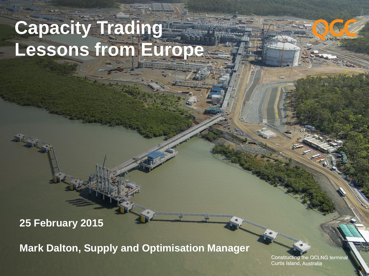# **Capacity Trading Lessons from Europ**

#### **25 February 2015**

**Mark Dalton, Supply and Optimisation Manager**

Constructing the QCLNG terminal Curtis Island, Australia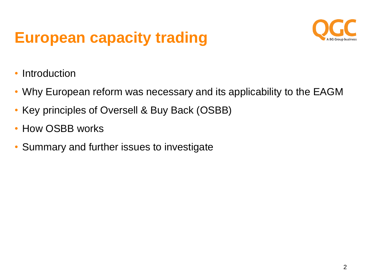### **European capacity trading**



- **Introduction**
- Why European reform was necessary and its applicability to the EAGM
- Key principles of Oversell & Buy Back (OSBB)
- How OSBB works
- Summary and further issues to investigate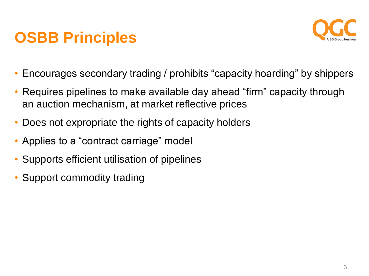### **OSBB Principles**



- Encourages secondary trading / prohibits "capacity hoarding" by shippers
- Requires pipelines to make available day ahead "firm" capacity through an auction mechanism, at market reflective prices
- Does not expropriate the rights of capacity holders
- Applies to a "contract carriage" model
- Supports efficient utilisation of pipelines
- Support commodity trading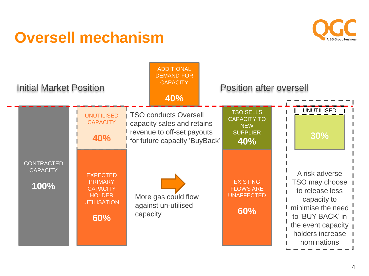### **Oversell mechanism**



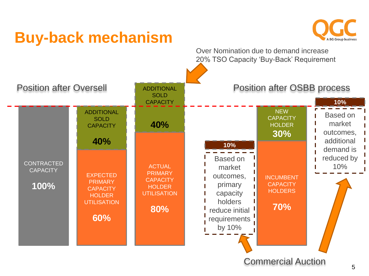

#### Commercial Auction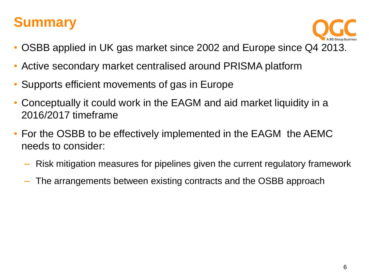#### **Summary**



- OSBB applied in UK gas market since 2002 and Europe since Q4 2013.
- Active secondary market centralised around PRISMA platform
- Supports efficient movements of gas in Europe
- Conceptually it could work in the EAGM and aid market liquidity in a 2016/2017 timeframe
- For the OSBB to be effectively implemented in the EAGM the AEMC needs to consider:
	- Risk mitigation measures for pipelines given the current regulatory framework
	- The arrangements between existing contracts and the OSBB approach